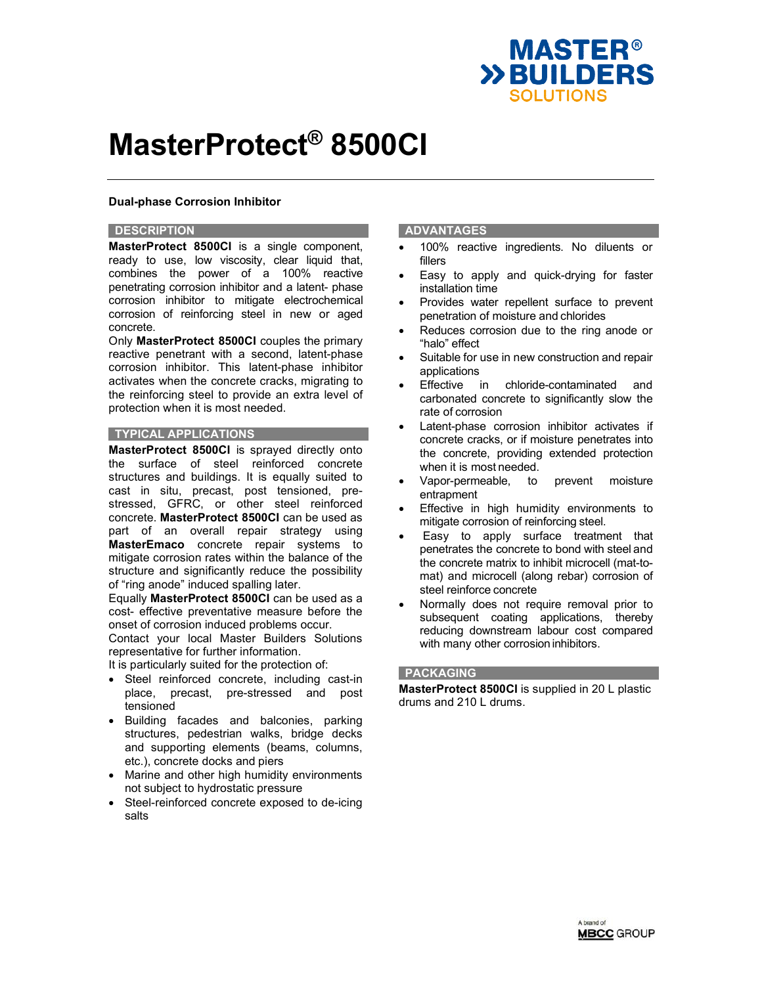

## **Dual-phase Corrosion Inhibitor**

### **DESCRIPTION**

**MasterProtect 8500CI** is a single component, ready to use, low viscosity, clear liquid that, combines the power of a 100% reactive penetrating corrosion inhibitor and a latent- phase corrosion inhibitor to mitigate electrochemical corrosion of reinforcing steel in new or aged concrete.

Only **MasterProtect 8500CI** couples the primary reactive penetrant with a second, latent-phase corrosion inhibitor. This latent-phase inhibitor activates when the concrete cracks, migrating to the reinforcing steel to provide an extra level of protection when it is most needed.

## **TYPICAL APPLICATIONS**

**MasterProtect 8500CI** is sprayed directly onto the surface of steel reinforced concrete structures and buildings. It is equally suited to cast in situ, precast, post tensioned, prestressed, GFRC, or other steel reinforced concrete. **MasterProtect 8500CI** can be used as part of an overall repair strategy using **MasterEmaco** concrete repair systems to mitigate corrosion rates within the balance of the structure and significantly reduce the possibility of "ring anode" induced spalling later.

Equally **MasterProtect 8500CI** can be used as a cost- effective preventative measure before the onset of corrosion induced problems occur.

Contact your local Master Builders Solutions representative for further information.

It is particularly suited for the protection of:

- Steel reinforced concrete, including cast-in place, precast, pre-stressed and post tensioned
- Building facades and balconies, parking structures, pedestrian walks, bridge decks and supporting elements (beams, columns, etc.), concrete docks and piers
- Marine and other high humidity environments not subject to hydrostatic pressure
- Steel-reinforced concrete exposed to de-icing salts

## **ADVANTAGES**

- 100% reactive ingredients. No diluents or fillers
- Easy to apply and quick-drying for faster installation time
- Provides water repellent surface to prevent penetration of moisture and chlorides
- Reduces corrosion due to the ring anode or "halo" effect
- Suitable for use in new construction and repair applications
- Effective in chloride-contaminated and carbonated concrete to significantly slow the rate of corrosion
- Latent-phase corrosion inhibitor activates if concrete cracks, or if moisture penetrates into the concrete, providing extended protection when it is most needed.
- Vapor-permeable, to prevent moisture entrapment
- Effective in high humidity environments to mitigate corrosion of reinforcing steel.
- Easy to apply surface treatment that penetrates the concrete to bond with steel and the concrete matrix to inhibit microcell (mat-tomat) and microcell (along rebar) corrosion of steel reinforce concrete
- Normally does not require removal prior to subsequent coating applications, thereby reducing downstream labour cost compared with many other corrosion inhibitors.

### **PACKAGING**

**MasterProtect 8500CI** is supplied in 20 L plastic drums and 210 L drums.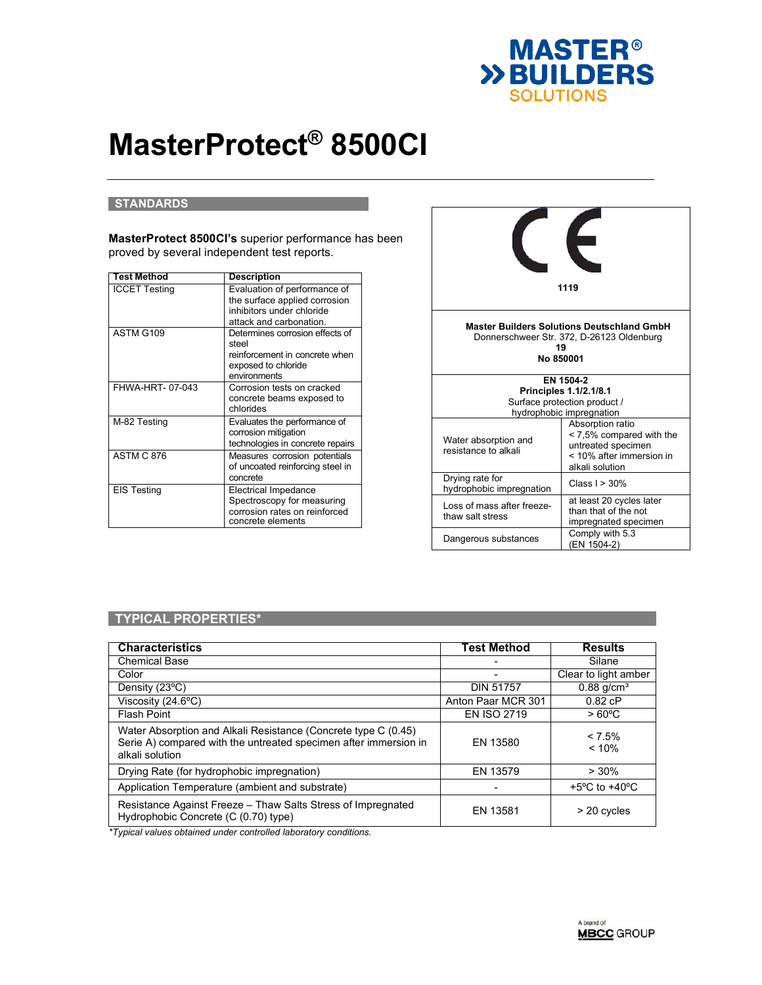

### **STANDARDS**

**MasterProtect 8500CI's** superior performance has been proved by several independent test reports.

| <b>Test Method</b>   | Description                                                                                                           |
|----------------------|-----------------------------------------------------------------------------------------------------------------------|
| <b>ICCET Testing</b> | Evaluation of performance of<br>the surface applied corrosion<br>inhibitors under chloride<br>attack and carbonation. |
| ASTM G109            | Determines corrosion effects of<br>steel<br>reinforcement in concrete when<br>exposed to chloride<br>environments     |
| FHWA-HRT-07-043      | Corrosion tests on cracked<br>concrete beams exposed to<br>chlorides                                                  |
| M-82 Testing         | Evaluates the performance of<br>corrosion mitigation<br>technologies in concrete repairs                              |
| <b>ASTM C 876</b>    | Measures corrosion potentials<br>of uncoated reinforcing steel in<br>concrete                                         |
| <b>EIS Testing</b>   | <b>Electrical Impedance</b><br>Spectroscopy for measuring<br>corrosion rates on reinforced<br>concrete elements       |



## **TYPICAL PROPERTIES\***

| <b>Characteristics</b>                                                                                                                                | <b>Test Method</b> | <b>Results</b>                    |
|-------------------------------------------------------------------------------------------------------------------------------------------------------|--------------------|-----------------------------------|
| <b>Chemical Base</b>                                                                                                                                  |                    | Silane                            |
| Color                                                                                                                                                 |                    | Clear to light amber              |
| Density (23°C)                                                                                                                                        | <b>DIN 51757</b>   | $0.88$ g/cm <sup>3</sup>          |
| Viscosity $(24.6^{\circ}C)$                                                                                                                           | Anton Paar MCR 301 | 0.82 cP                           |
| Flash Point                                                                                                                                           | <b>EN ISO 2719</b> | $>60^{\circ}$ C                   |
| Water Absorption and Alkali Resistance (Concrete type C (0.45)<br>Serie A) compared with the untreated specimen after immersion in<br>alkali solution | EN 13580           | $< 7.5\%$<br>< 10%                |
| Drying Rate (for hydrophobic impregnation)                                                                                                            | EN 13579           | $> 30\%$                          |
| Application Temperature (ambient and substrate)                                                                                                       |                    | $+5^{\circ}$ C to $+40^{\circ}$ C |
| Resistance Against Freeze - Thaw Salts Stress of Impregnated<br>Hydrophobic Concrete (C (0.70) type)                                                  | EN 13581           | $> 20$ cycles                     |

*\*Typical values obtained under controlled laboratory conditions.*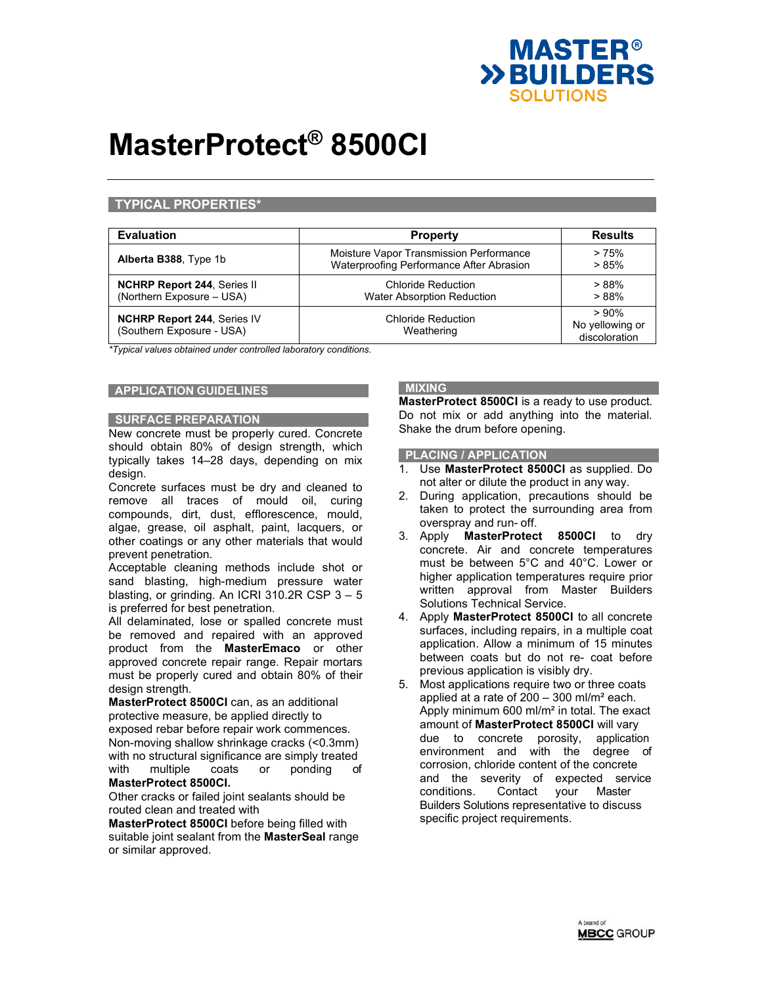

## **TYPICAL PROPERTIES\***

| <b>Evaluation</b>                                               | <b>Property</b>                                                                     | <b>Results</b>                           |
|-----------------------------------------------------------------|-------------------------------------------------------------------------------------|------------------------------------------|
| Alberta B388, Type 1b                                           | Moisture Vapor Transmission Performance<br>Waterproofing Performance After Abrasion | > 75%<br>> 85%                           |
| <b>NCHRP Report 244, Series II</b><br>(Northern Exposure - USA) | Chloride Reduction<br><b>Water Absorption Reduction</b>                             | >88%<br>>88%                             |
| <b>NCHRP Report 244, Series IV</b><br>(Southern Exposure - USA) | <b>Chloride Reduction</b><br>Weathering                                             | >90%<br>No yellowing or<br>discoloration |

*\*Typical values obtained under controlled laboratory conditions.* 

## **APPLICATION GUIDELINES**

### **SURFACE PREPARATION**

New concrete must be properly cured. Concrete should obtain 80% of design strength, which typically takes 14–28 days, depending on mix design.

Concrete surfaces must be dry and cleaned to remove all traces of mould oil, curing compounds, dirt, dust, efflorescence, mould, algae, grease, oil asphalt, paint, lacquers, or other coatings or any other materials that would prevent penetration.

Acceptable cleaning methods include shot or sand blasting, high-medium pressure water blasting, or grinding. An ICRI 310.2R CSP 3 – 5 is preferred for best penetration.

All delaminated, lose or spalled concrete must be removed and repaired with an approved product from the **MasterEmaco** or other approved concrete repair range. Repair mortars must be properly cured and obtain 80% of their design strength.

**MasterProtect 8500CI** can, as an additional protective measure, be applied directly to exposed rebar before repair work commences. Non-moving shallow shrinkage cracks (<0.3mm) with no structural significance are simply treated with multiple coats or ponding of **MasterProtect 8500CI.** 

Other cracks or failed joint sealants should be routed clean and treated with

**MasterProtect 8500CI** before being filled with suitable joint sealant from the **MasterSeal** range or similar approved.

# **MIXING**

**MasterProtect 8500CI** is a ready to use product. Do not mix or add anything into the material. Shake the drum before opening.

### **PLACING / APPLICATION**

- 1. Use **MasterProtect 8500CI** as supplied. Do not alter or dilute the product in any way.
- 2. During application, precautions should be taken to protect the surrounding area from overspray and run- off.
- 3. Apply **MasterProtect 8500CI** to dry concrete. Air and concrete temperatures must be between 5°C and 40°C. Lower or higher application temperatures require prior written approval from Master Builders Solutions Technical Service.
- 4. Apply **MasterProtect 8500CI** to all concrete surfaces, including repairs, in a multiple coat application. Allow a minimum of 15 minutes between coats but do not re- coat before previous application is visibly dry.
- 5. Most applications require two or three coats applied at a rate of 200 – 300 ml/m² each. Apply minimum 600 ml/m² in total. The exact amount of **MasterProtect 8500CI** will vary due to concrete porosity, application environment and with the degree of corrosion, chloride content of the concrete and the severity of expected service conditions. Contact your Master Builders Solutions representative to discuss specific project requirements.